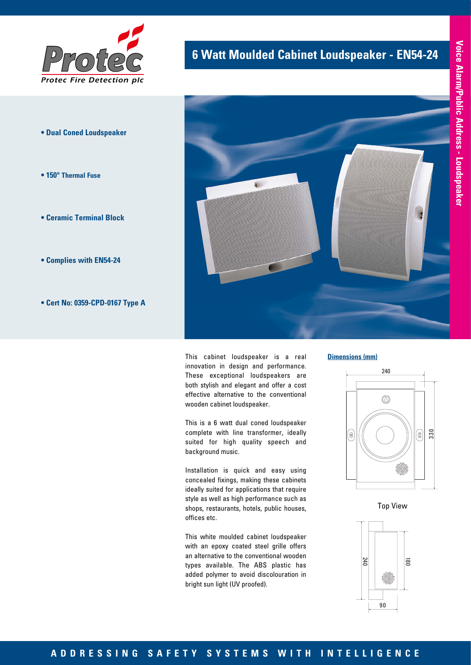

- **Dual Coned Loudspeaker**
- **150° Thermal Fuse**
- **Ceramic Terminal Block**
- **Complies with EN54-24**
- **Cert No: 0359-CPD-0167 Type A**

## **6 Watt Moulded Cabinet Loudspeaker - EN54-24**



This cabinet loudspeaker is a real innovation in design and performance. These exceptional loudspeakers are both stylish and elegant and offer a cost effective alternative to the conventional wooden cabinet loudspeaker.

This is a 6 watt dual coned loudspeaker complete with line transformer, ideally suited for high quality speech and background music.

Installation is quick and easy using concealed fixings, making these cabinets ideally suited for applications that require style as well as high performance such as shops, restaurants, hotels, public houses, offices etc.

This white moulded cabinet loudspeaker with an epoxy coated steel grille offers an alternative to the conventional wooden types available. The ABS plastic has added polymer to avoid discolouration in bright sun light (UV proofed).

#### **Dimensions (mm)**